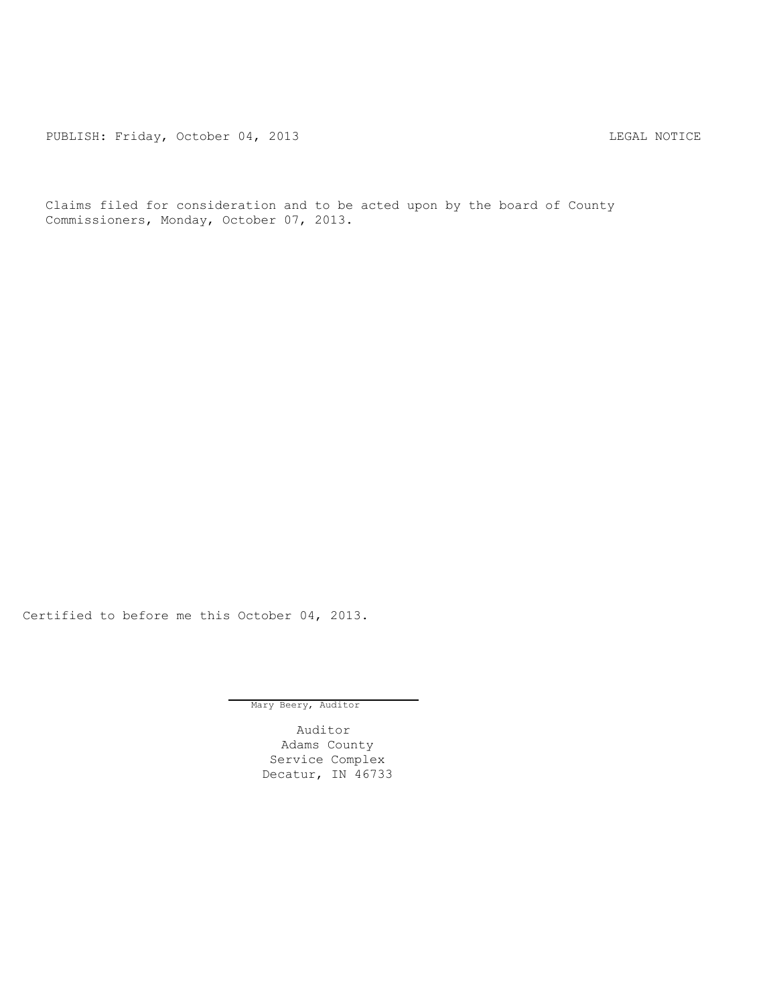PUBLISH: Friday, October 04, 2013 LEGAL NOTICE

Claims filed for consideration and to be acted upon by the board of County Commissioners, Monday, October 07, 2013.

Certified to before me this October 04, 2013.

Mary Beery, Auditor

Auditor Adams County Service Complex Decatur, IN 46733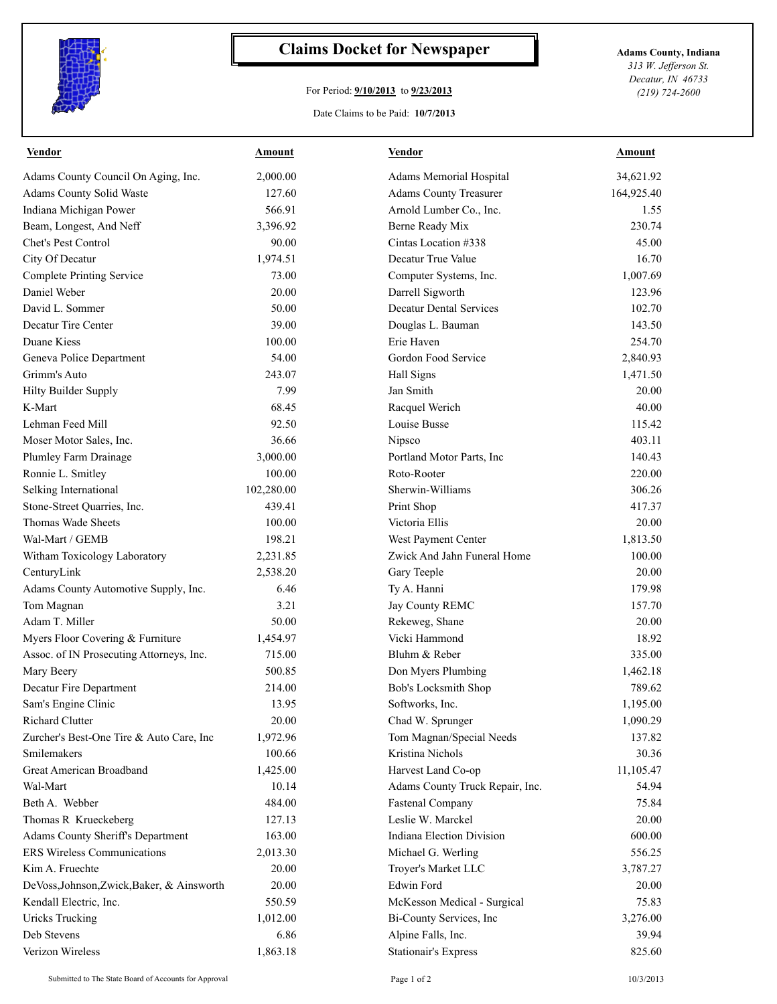

## **Claims Docket for Newspaper Adams County, Indiana**

## For Period: **9/10/2013** to **9/23/2013**

Date Claims to be Paid: **10/7/2013**

*313 W. Jefferson St. Decatur, IN 46733 (219) 724-2600*

| <b>Vendor</b>                              | <b>Amount</b> | <b>Vendor</b>                    | <b>Amount</b> |
|--------------------------------------------|---------------|----------------------------------|---------------|
| Adams County Council On Aging, Inc.        | 2,000.00      | Adams Memorial Hospital          | 34,621.92     |
| Adams County Solid Waste                   | 127.60        | <b>Adams County Treasurer</b>    | 164,925.40    |
| Indiana Michigan Power                     | 566.91        | Arnold Lumber Co., Inc.          | 1.55          |
| Beam, Longest, And Neff                    | 3,396.92      | Berne Ready Mix                  | 230.74        |
| <b>Chet's Pest Control</b>                 | 90.00         | Cintas Location #338             | 45.00         |
| City Of Decatur                            | 1,974.51      | Decatur True Value               | 16.70         |
| <b>Complete Printing Service</b>           | 73.00         | Computer Systems, Inc.           | 1,007.69      |
| Daniel Weber                               | 20.00         | Darrell Sigworth                 | 123.96        |
| David L. Sommer                            | 50.00         | <b>Decatur Dental Services</b>   | 102.70        |
| Decatur Tire Center                        | 39.00         | Douglas L. Bauman                | 143.50        |
| Duane Kiess                                | 100.00        | Erie Haven                       | 254.70        |
| Geneva Police Department                   | 54.00         | Gordon Food Service              | 2,840.93      |
| Grimm's Auto                               | 243.07        | Hall Signs                       | 1,471.50      |
| <b>Hilty Builder Supply</b>                | 7.99          | Jan Smith                        | 20.00         |
| K-Mart                                     | 68.45         | Racquel Werich                   | 40.00         |
| Lehman Feed Mill                           | 92.50         | Louise Busse                     | 115.42        |
| Moser Motor Sales, Inc.                    | 36.66         | Nipsco                           | 403.11        |
| Plumley Farm Drainage                      | 3,000.00      | Portland Motor Parts, Inc        | 140.43        |
| Ronnie L. Smitley                          | 100.00        | Roto-Rooter                      | 220.00        |
| Selking International                      | 102,280.00    | Sherwin-Williams                 | 306.26        |
| Stone-Street Quarries, Inc.                | 439.41        | Print Shop                       | 417.37        |
| Thomas Wade Sheets                         | 100.00        | Victoria Ellis                   | 20.00         |
| Wal-Mart / GEMB                            | 198.21        | West Payment Center              | 1,813.50      |
| Witham Toxicology Laboratory               | 2,231.85      | Zwick And Jahn Funeral Home      | 100.00        |
| CenturyLink                                | 2,538.20      | Gary Teeple                      | 20.00         |
| Adams County Automotive Supply, Inc.       | 6.46          | Ty A. Hanni                      | 179.98        |
| Tom Magnan                                 | 3.21          | Jay County REMC                  | 157.70        |
| Adam T. Miller                             | 50.00         | Rekeweg, Shane                   | 20.00         |
| Myers Floor Covering & Furniture           | 1,454.97      | Vicki Hammond                    | 18.92         |
| Assoc. of IN Prosecuting Attorneys, Inc.   | 715.00        | Bluhm & Reber                    | 335.00        |
| Mary Beery                                 | 500.85        | Don Myers Plumbing               | 1,462.18      |
| Decatur Fire Department                    | 214.00        | Bob's Locksmith Shop             | 789.62        |
| Sam's Engine Clinic                        | 13.95         | Softworks, Inc.                  | 1,195.00      |
| <b>Richard Clutter</b>                     | 20.00         | Chad W. Sprunger                 | 1,090.29      |
| Zurcher's Best-One Tire & Auto Care, Inc   | 1,972.96      | Tom Magnan/Special Needs         | 137.82        |
| Smilemakers                                | 100.66        | Kristina Nichols                 | 30.36         |
| Great American Broadband                   | 1,425.00      | Harvest Land Co-op               | 11,105.47     |
| Wal-Mart                                   | 10.14         | Adams County Truck Repair, Inc.  | 54.94         |
| Beth A. Webber                             | 484.00        | <b>Fastenal Company</b>          | 75.84         |
| Thomas R Krueckeberg                       | 127.13        | Leslie W. Marckel                | 20.00         |
| Adams County Sheriff's Department          | 163.00        | <b>Indiana Election Division</b> | 600.00        |
| <b>ERS Wireless Communications</b>         | 2,013.30      | Michael G. Werling               | 556.25        |
| Kim A. Fruechte                            | 20.00         | Troyer's Market LLC              | 3,787.27      |
| DeVoss, Johnson, Zwick, Baker, & Ainsworth | 20.00         | Edwin Ford                       | 20.00         |
| Kendall Electric, Inc.                     | 550.59        | McKesson Medical - Surgical      | 75.83         |
| <b>Uricks Trucking</b>                     | 1,012.00      | Bi-County Services, Inc          | 3,276.00      |
| Deb Stevens                                | 6.86          | Alpine Falls, Inc.               | 39.94         |
| Verizon Wireless                           | 1,863.18      | Stationair's Express             | 825.60        |